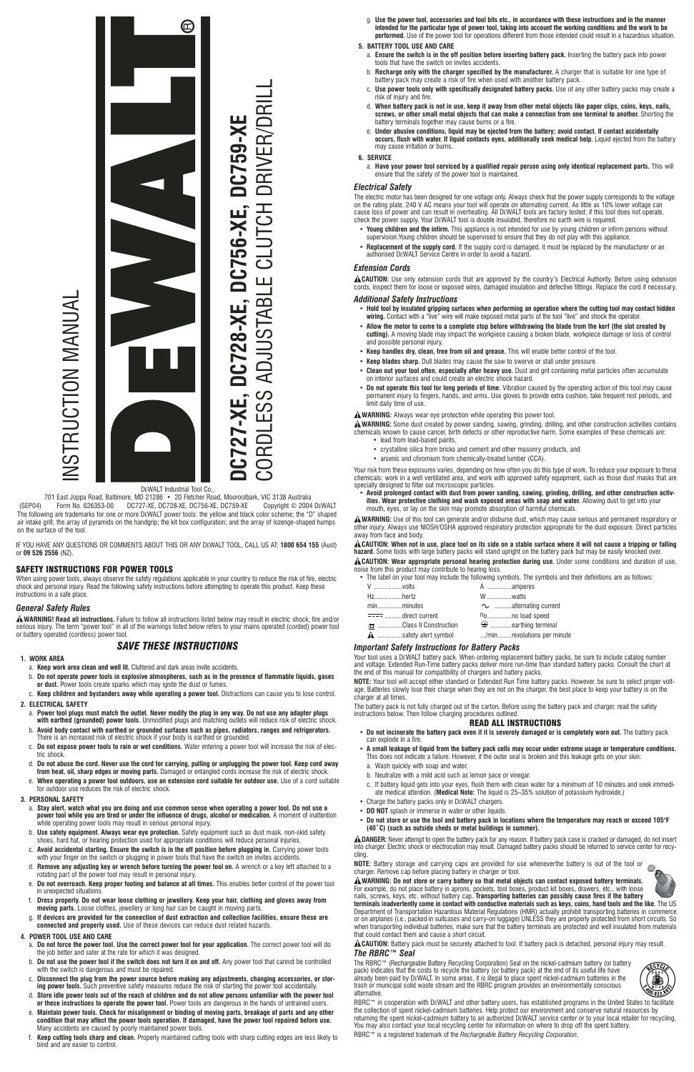g. **Use the power tool, accessories and tool bits etc., in accordance with these instructions and in the manner intended for the particular type of power tool, taking into account the working conditions and the work to be performed.** Use of the power tool for operations different from those intended could result in a hazardous situation.

#### **5. BATTERY TOOL USE AND CARE**

- a. **Ensure the switch is in the off position before inserting battery pack.** Inserting the battery pack into power tools that have the switch on invites accidents.
- b. **Recharge only with the charger specified by the manufacturer.** A charger that is suitable for one type of battery pack may create a risk of fire when used with another battery pack.
- c. **Use power tools only with specifically designated battery packs.** Use of any other battery packs may create a risk of injury and fire.
- d. **When battery pack is not in use, keep it away from other metal objects like paper clips, coins, keys, nails, screws, or other small metal objects that can make a connection from one terminal to another.** Shorting the battery terminals together may cause burns or a fire.
- e. **Under abusive conditions, liquid may be ejected from the battery; avoid contact. If contact accidentally occurs, flush with water. If liquid contacts eyes, additionally seek medical help.** Liquid ejected from the battery may cause irritation or burns.

#### **6. SERVICE**

a. **Have your power tool serviced by a qualified repair person using only identical replacement parts.** This will ensure that the safety of the power tool is maintained.

### *Electrical Safety*

The electric motor has been designed for one voltage only. Always check that the power supply corresponds to the voltage on the rating plate. 240 V AC means your tool will operate on alternating current. As little as 10% lower voltage can cause loss of power and can result in overheating. All DEWALT tools are factory tested; if this tool does not operate, check the power supply. Your DEWALT tool is double insulated, therefore no earth wire is required.

- **Young children and the infirm.** This appliance is not intended for use by young children or infirm persons without supervision.Young children should be supervised to ensure that they do not play with this appliance.
- **Replacement of the supply cord.** If the supply cord is damaged, it must be replaced by the manufacturer or an authorised DEWALT Service Centre in order to avoid a hazard.

## *Extension Cords*

**CAUTION:** Use only extension cords that are approved by the country's Electrical Authority. Before using extension cords, inspect them for loose or exposed wires, damaged insulation and defective fittings. Replace the cord if necessary.

#### *Additional Safety Instructions*

Your tool uses a DEWALT battery pack. When ordering replacement battery packs, be sure to include catalog number and voltage. Extended Run-Time battery packs deliver more run-time than standard battery packs. Consult the chart at the end of this manual for compatibility of chargers and battery packs.

- **Hold tool by insulated gripping surfaces when performing an operation where the cutting tool may contact hidden wiring.** Contact with a "live" wire will make exposed metal parts of the tool "live" and shock the operator.
- **Allow the motor to come to a complete stop before withdrawing the blade from the kerf (the slot created by cutting).** A moving blade may impact the workpiece causing a broken blade, workpiece damage or loss of control and possible personal injury.
- **Keep handles dry, clean, free from oil and grease.** This will enable better control of the tool.
- **Keep blades sharp.** Dull blades may cause the saw to swerve or stall under pressure.
- **Clean out your tool often, especially after heavy use.** Dust and grit containing metal particles often accumulate on interior surfaces and could create an electric shock hazard.
- **Do not operate this tool for long periods of time.** Vibration caused by the operating action of this tool may cause permanent injury to fingers, hands, and arms. Use gloves to provide extra cushion, take frequent rest periods, and limit daily time of use.

A WARNING: Always wear eye protection while operating this power tool.

**WARNING:** Some dust created by power sanding, sawing, grinding, drilling, and other construction activities contains chemicals known to cause cancer, birth defects or other reproductive harm. Some examples of these chemicals are:

- lead from lead-based paints,
- crystalline silica from bricks and cement and other masonry products, and
- arsenic and chromium from chemically-treated lumber (CCA).

Your risk from these exposures varies, depending on how often you do this type of work. To reduce your exposure to these chemicals: work in a well ventilated area, and work with approved safety equipment, such as those dust masks that are specially designed to filter out microscopic particles.

• **Avoid prolonged contact with dust from power sanding, sawing, grinding, drilling, and other construction activities. Wear protective clothing and wash exposed areas with soap and water.** Allowing dust to get into your mouth, eyes, or lay on the skin may promote absorption of harmful chemicals.

**WARNING:** Use of this tool can generate and/or disburse dust, which may cause serious and permanent respiratory or other injury. Always use NIOSH/OSHA approved respiratory protection appropriate for the dust exposure. Direct particles away from face and body.

RBRC™ in cooperation with DEWALT and other battery users, has established programs in the United States to facilitate the collection of spent nickel-cadmium batteries. Help protect our environment and conserve natural resources by returning the spent nickel-cadmium battery to an authorized DEWALT service center or to your local retailer for recycling. You may also contact your local recycling center for information on where to drop off the spent battery.

**CAUTION: When not in use, place tool on its side on a stable surface where it will not cause a tripping or falling hazard.** Some tools with large battery packs will stand upright on the battery pack but may be easily knocked over.

**CAUTION: Wear appropriate personal hearing protection during use.** Under some conditions and duration of use, noise from this product may contribute to hearing loss.

• The label on your tool may include the following symbols. The symbols and their definitions are as follows:

| V volts                                  | A amperes                    |
|------------------------------------------|------------------------------|
| $Hz$ hertz                               |                              |
| minminutes                               | $\sim$ alternating current   |
| $\overline{\mathsf{---}}$ direct current | n <sub>o</sub> no load speed |
| □ Class II Construction                  | $\oplus$ earthing terminal   |
| A safety alert symbol                    | /minrevolutions per minute   |

## *Important Safety Instructions for Battery Packs*

**NOTE:** Your tool will accept either standard or Extended Run Time battery packs. However, be sure to select proper voltage. Batteries slowly lose their charge when they are not on the charger, the best place to keep your battery is on the charger at all times.

The battery pack is not fully charged out of the carton. Before using the battery pack and charger, read the safety instructions below. Then follow charging procedures outlined.

## READ ALL INSTRUCTIONS

- **Do not incinerate the battery pack even if it is severely damaged or is completely worn out.** The battery pack can explode in a fire.
- **A small leakage of liquid from the battery pack cells may occur under extreme usage or temperature conditions.**
- This does not indicate a failure. However, if the outer seal is broken and this leakage gets on your skin: a. Wash quickly with soap and water.
- b. Neutralize with a mild acid such as lemon juice or vinegar.
- 
- c. If battery liquid gets into your eyes, flush them with clean water for a minimum of 10 minutes and seek immedi-
- ate medical attention. (**Medical Note:** The liquid is 25–35% solution of potassium hydroxide.)
- Charge the battery packs only in DEWALT chargers.
- **DO NOT** splash or immerse in water or other liquids.
- **Do not store or use the tool and battery pack in locations where the temperature may reach or exceed 105°F (40˚C) (such as outside sheds or metal buildings in summer).**

**DANGER:** Never attempt to open the battery pack for any reason. If battery pack case is cracked or damaged, do not insert into charger. Electric shock or electrocution may result. Damaged battery packs should be returned to service center for recycling.

**NOTE:** Battery storage and carrying caps are provided for use wheneverthe battery is out of the tool or charger. Remove cap before placing battery in charger or tool.

**WARNING: Do not store or carry battery so that metal objects can contact exposed battery terminals.** For example, do not place battery in aprons, pockets, tool boxes, product kit boxes, drawers, etc., with loose nails, screws, keys, etc. without battery cap. **Transporting batteries can possibly cause fires if the battery**

**terminals inadvertently come in contact with conductive materials such as keys, coins, hand tools and the like.** The US Department of Transportation Hazardous Material Regulations (HMR) actually prohibit transporting batteries in commerce or on airplanes (i.e., packed in suitcases and carry-on luggage) UNLESS they are properly protected from short circuits. So when transporting individual batteries, make sure that the battery terminals are protected and well insulated from materials that could contact them and cause a short circuit.

**CAUTION:** Battery pack must be securely attached to tool. If battery pack is detached, personal injury may result. *The RBRC™ Seal*

The RBRC™ (Rechargeable Battery Recycling Corporation) Seal on the nickel-cadmium battery (or battery pack) indicates that the costs to recycle the battery (or battery pack) at the end of its useful life have already been paid by DEWALT. In some areas, it is illegal to place spent nickel-cadmium batteries in the trash or municipal solid waste stream and the RBRC program provides an environmentally conscious alternative.



RBRC™ is a registered trademark of the *Rechargeable Battery Recycling Corporation*.





701 East Joppa Road, Baltimore, MD 21286 • 20 Fletcher Road, Mooroolbark, VIC 3138 Australia (SEP04) Form No. 626353-00 DC727-XE, DC728-XE, DC756-XE, DC759-XE The following are trademarks for one or more DEWALT power tools: the yellow and black color scheme; the "D" shaped air intake grill; the array of pyramids on the handgrip; the kit box configuration; and the array of lozenge-shaped humps on the surface of the tool.

IF YOU HAVE ANY QUESTIONS OR COMMENTS ABOUT THIS OR ANY DEWALT TOOL, CALL US AT: **1800 654 155** (Aust) or **09 526 2556** (NZ).

## SAFETY INSTRUCTIONS FOR POWER TOOLS

When using power tools, always observe the safety regulations applicable in your country to reduce the risk of fire, electric shock and personal injury. Read the following safety instructions before attempting to operate this product. Keep these instructions in a safe place.

## *General Safety Rules*

**WARNING! Read all instructions.** Failure to follow all instructions listed below may result in electric shock, fire and/or serious injury. The term "power tool" in all of the warnings listed below refers to your mains operated (corded) power tool or battery operated (cordless) power tool.

## *SAVE THESE INSTRUCTIONS*

- **1. WORK AREA**
	- a. **Keep work area clean and well lit.** Cluttered and dark areas invite accidents.
	- b. **Do not operate power tools in explosive atmospheres, such as in the presence of flammable liquids, gases or dust.** Power tools create sparks which may ignite the dust or fumes.
	- c. **Keep children and bystanders away while operating a power tool.** Distractions can cause you to lose control.
- **2. ELECTRICAL SAFETY**
	- a. **Power tool plugs must match the outlet. Never modify the plug in any way. Do not use any adapter plugs**
	- **with earthed (grounded) power tools.** Unmodified plugs and matching outlets will reduce risk of electric shock. b. **Avoid body contact with earthed or grounded surfaces such as pipes, radiators, ranges and refrigerators.** There is an increased risk of electric shock if your body is earthed or grounded.
	- c. **Do not expose power tools to rain or wet conditions.** Water entering a power tool will increase the risk of electric shock.
	- d. **Do not abuse the cord. Never use the cord for carrying, pulling or unplugging the power tool. Keep cord away from heat, oil, sharp edges or moving parts.** Damaged or entangled cords increase the risk of electric shock.
	- e. **When operating a power tool outdoors, use an extension cord suitable for outdoor use.** Use of a cord suitable

for outdoor use reduces the risk of electric shock.

- **3. PERSONAL SAFETY**
	- a. **Stay alert, watch what you are doing and use common sense when operating a power tool. Do not use a power tool while you are tired or under the influence of drugs, alcohol or medication.** A moment of inattention while operating power tools may result in serious personal injury.
	- b. **Use safety equipment. Always wear eye protection.** Safety equipment such as dust mask, non-skid safety hoes, hard hat, or hearing protection used for appropriate conditions will reduce personal injuries.
	- c. **Avoid accidental starting. Ensure the switch is in the off position before plugging in.** Carrying power tools with your finger on the switch or plugging in power tools that have the switch on invites accidents.
	- d. Remove any adjusting key or wrench before turning the power tool on. A wrench or a key left attached to a rotating part of the power tool may result in personal injury.
	- e. **Do not overreach. Keep proper footing and balance at all times.** This enables better control of the power tool in unexpected situations.
	- f. **Dress properly. Do not wear loose clothing or jewellery. Keep your hair, clothing and gloves away from moving parts.** Loose clothes, jewellery or long hair can be caught in moving parts.
	- g. **If devices are provided for the connection of dust extraction and collection facilities, ensure these are connected and properly used.** Use of these devices can reduce dust related hazards.
- **4. POWER TOOL USE AND CARE**
	- a. **Do not force the power tool. Use the correct power tool for your application.** The correct power tool will do the job better and safer at the rate for which it was designed.
	- b. **Do not use the power tool if the switch does not turn it on and off.** Any power tool that cannot be controlled with the switch is dangerous and must be repaired.
	- c. **Disconnect the plug from the power source before making any adjustments, changing accessories, or storing power tools.** Such preventive safety measures reduce the risk of starting the power tool accidentally.
	- d. **Store idle power tools out of the reach of children and do not allow persons unfamiliar with the power tool or these instructions to operate the power tool.** Power tools are dangerous in the hands of untrained users.
	- e. **Maintain power tools. Check for misalignment or binding of moving parts, breakage of parts and any other condition that may affect the power tools operation. If damaged, have the power tool repaired before use.** Many accidents are caused by poorly maintained power tools.
	- f. **Keep cutting tools sharp and clean.** Properly maintained cutting tools with sharp cutting edges are less likely to bind and are easier to control.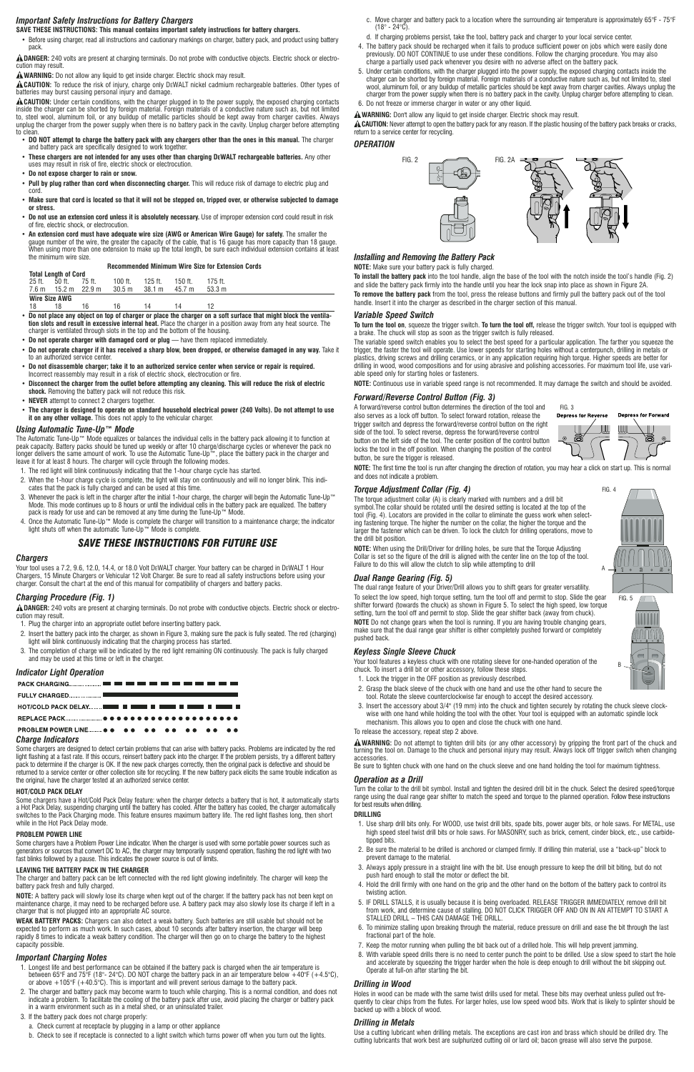## *Important Safety Instructions for Battery Chargers*

## **SAVE THESE INSTRUCTIONS: This manual contains important safety instructions for battery chargers.**

• Before using charger, read all instructions and cautionary markings on charger, battery pack, and product using battery pack.

**DANGER:** 240 volts are present at charging terminals. Do not probe with conductive objects. Electric shock or electrocution may result.

**WARNING:** Do not allow any liquid to get inside charger. Electric shock may result.

**CAUTION:** To reduce the risk of injury, charge only DEWALT nickel cadmium rechargeable batteries. Other types of batteries may burst causing personal injury and damage.

**CAUTION:** Under certain conditions, with the charger plugged in to the power supply, the exposed charging contacts inside the charger can be shorted by foreign material. Foreign materials of a conductive nature such as, but not limited to, steel wool, aluminum foil, or any buildup of metallic particles should be kept away from charger cavities. Always unplug the charger from the power supply when there is no battery pack in the cavity. Unplug charger before attempting to clean.

- **DO NOT attempt to charge the battery pack with any chargers other than the ones in this manual.** The charger and battery pack are specifically designed to work together.
- **These chargers are not intended for any uses other than charging DEWALT rechargeable batteries.** Any other uses may result in risk of fire, electric shock or electrocution.
- **Do not expose charger to rain or snow.**
- **Pull by plug rather than cord when disconnecting charger.** This will reduce risk of damage to electric plug and cord.
- **Make sure that cord is located so that it will not be stepped on, tripped over, or otherwise subjected to damage or stress.**
- **Do not use an extension cord unless it is absolutely necessary.** Use of improper extension cord could result in risk of fire, electric shock, or electrocution.
- **An extension cord must have adequate wire size (AWG or American Wire Gauge) for safety.** The smaller the gauge number of the wire, the greater the capacity of the cable, that is 16 gauge has more capacity than 18 gauge. When using more than one extension to make up the total length, be sure each individual extension contains at least the minimum wire size.

|                             | <b>Recommended Minimum Wire Size for Extension Cords</b> |        |                  |                  |         |         |  |  |
|-----------------------------|----------------------------------------------------------|--------|------------------|------------------|---------|---------|--|--|
| <b>Total Length of Cord</b> |                                                          |        |                  |                  |         |         |  |  |
| 25 ft.                      | 50 ft.                                                   | 75 ft. | 100 ft.          | 125 ft.          | 150 ft. | 175 ft. |  |  |
| 7.6 m                       | 15.2 m                                                   | 22.9 m | $30.5 \text{ m}$ | $38.1 \text{ m}$ | 45.7 m  | 53.3 m  |  |  |
| Wire Size AWG               |                                                          |        |                  |                  |         |         |  |  |
| 18                          |                                                          | 16     | 16               | 14               | 14      |         |  |  |

Your tool uses a 7.2, 9.6, 12.0, 14.4, or 18.0 Volt DEWALT charger. Your battery can be charged in DEWALT 1 Hour Chargers, 15 Minute Chargers or Vehicular 12 Volt Charger. Be sure to read all safety instructions before using your charger. Consult the chart at the end of this manual for compatibility of chargers and battery packs.

- **Do not place any object on top of charger or place the charger on a soft surface that might block the ventilation slots and result in excessive internal heat.** Place the charger in a position away from any heat source. The charger is ventilated through slots in the top and the bottom of the housing.
- **Do not operate charger with damaged cord or plug** have them replaced immediately.
- **Do not operate charger if it has received a sharp blow, been dropped, or otherwise damaged in any way.** Take it to an authorized service center.
- **Do not disassemble charger; take it to an authorized service center when service or repair is required.** Incorrect reassembly may result in a risk of electric shock, electrocution or fire.
- **Disconnect the charger from the outlet before attempting any cleaning. This will reduce the risk of electric shock.** Removing the battery pack will not reduce this risk.
- **NEVER** attempt to connect 2 chargers together.
- **The charger is designed to operate on standard household electrical power (240 Volts). Do not attempt to use it on any other voltage.** This does not apply to the vehicular charger.

## *Using Automatic Tune-Up™ Mode*

The Automatic Tune-Up™ Mode equalizes or balances the individual cells in the battery pack allowing it to function at peak capacity. Battery packs should be tuned up weekly or after 10 charge/discharge cycles or whenever the pack no longer delivers the same amount of work. To use the Automatic Tune-Up™, place the battery pack in the charger and leave it for at least 8 hours. The charger will cycle through the following modes.

- 1. The red light will blink continuously indicating that the 1-hour charge cycle has started.
- 2. When the 1-hour charge cycle is complete, the light will stay on continuously and will no longer blink. This indicates that the pack is fully charged and can be used at this time.
- 3. Whenever the pack is left in the charger after the initial 1-hour charge, the charger will begin the Automatic Tune-Up™ Mode. This mode continues up to 8 hours or until the individual cells in the battery pack are equalized. The battery pack is ready for use and can be removed at any time during the Tune-Up™ Mode.
- 4. Once the Automatic Tune-Up™ Mode is complete the charger will transition to a maintenance charge; the indicator light shuts off when the automatic Tune-Up™ Mode is complete.

# *SAVE THESE INSTRUCTIONS FOR FUTURE USE*

## *Chargers*

## *Charging Procedure (Fig. 1)*

**DANGER:** 240 volts are present at charging terminals. Do not probe with conductive objects. Electric shock or electrocution may result.

- 1. Plug the charger into an appropriate outlet before inserting battery pack.
- 2. Insert the battery pack into the charger, as shown in Figure 3, making sure the pack is fully seated. The red (charging) light will blink continuously indicating that the charging process has started.
- 3. The completion of charge will be indicated by the red light remaining ON continuously. The pack is fully charged and may be used at this time or left in the charger.

## *Indicator Light Operation*



## *Charge Indicators*

Some chargers are designed to detect certain problems that can arise with battery packs. Problems are indicated by the red light flashing at a fast rate. If this occurs, reinsert battery pack into the charger. If the problem persists, try a different battery pack to determine if the charger is OK. If the new pack charges correctly, then the original pack is defective and should be returned to a service center or other collection site for recycling. If the new battery pack elicits the same trouble indication as the original, have the charger tested at an authorized service center.

#### **HOT/COLD PACK DELAY**

Some chargers have a Hot/Cold Pack Delay feature: when the charger detects a battery that is hot, it automatically starts a Hot Pack Delay, suspending charging until the battery has cooled. After the battery has cooled, the charger automatically switches to the Pack Charging mode. This feature ensures maximum battery life. The red light flashes long, then short while in the Hot Pack Delay mode.

#### **PROBLEM POWER LINE**

Some chargers have a Problem Power Line indicator. When the charger is used with some portable power sources such as generators or sources that convert DC to AC, the charger may temporarily suspend operation, flashing the red light with two fast blinks followed by a pause. This indicates the power source is out of limits.

#### **LEAVING THE BATTERY PACK IN THE CHARGER**

The charger and battery pack can be left connected with the red light glowing indefinitely. The charger will keep the battery pack fresh and fully charged.

**NOTE:** A battery pack will slowly lose its charge when kept out of the charger. If the battery pack has not been kept on maintenance charge, it may need to be recharged before use. A battery pack may also slowly lose its charge if left in a charger that is not plugged into an appropriate AC source.

**WEAK BATTERY PACKS:** Chargers can also detect a weak battery. Such batteries are still usable but should not be expected to perform as much work. In such cases, about 10 seconds after battery insertion, the charger will beep rapidly 8 times to indicate a weak battery condition. The charger will then go on to charge the battery to the highest capacity possible.

## *Important Charging Notes*

- 1. Longest life and best performance can be obtained if the battery pack is charged when the air temperature is between 65°F and 75°F (18°- 24°C). DO NOT charge the battery pack in an air temperature below +40°F (+4.5°C), or above  $+105^{\circ}F$  (+40.5 $^{\circ}C$ ). This is important and will prevent serious damage to the battery pack.
- 2. The charger and battery pack may become warm to touch while charging. This is a normal condition, and does not indicate a problem. To facilitate the cooling of the battery pack after use, avoid placing the charger or battery pack in a warm environment such as in a metal shed, or an uninsulated trailer.
- 3. If the battery pack does not charge properly:
- a. Check current at receptacle by plugging in a lamp or other appliance
- b. Check to see if receptacle is connected to a light switch which turns power off when you turn out the lights.
- c. Move charger and battery pack to a location where the surrounding air temperature is approximately 65°F 75°F  $(18^{\circ} - 24^{\circ}C)$ .
- d. If charging problems persist, take the tool, battery pack and charger to your local service center.
- 4. The battery pack should be recharged when it fails to produce sufficient power on jobs which were easily done previously. DO NOT CONTINUE to use under these conditions. Follow the charging procedure. You may also charge a partially used pack whenever you desire with no adverse affect on the battery pack.
- 5. Under certain conditions, with the charger plugged into the power supply, the exposed charging contacts inside the charger can be shorted by foreign material. Foreign materials of a conductive nature such as, but not limited to, steel wool, aluminum foil, or any buildup of metallic particles should be kept away from charger cavities. Always unplug the charger from the power supply when there is no battery pack in the cavity. Unplug charger before attempting to clean. 6. Do not freeze or immerse charger in water or any other liquid.
- 

**WARNING:** Don't allow any liquid to get inside charger. Electric shock may result.

**CAUTION:** Never attempt to open the battery pack for any reason. If the plastic housing of the battery pack breaks or cracks, return to a service center for recycling.

### *OPERATION*

### *Installing and Removing the Battery Pack*

**NOTE:** Make sure your battery pack is fully charged.

**To install the battery pack** into the tool handle, align the base of the tool with the notch inside the tool's handle (Fig. 2) and slide the battery pack firmly into the handle until you hear the lock snap into place as shown in Figure 2A. **To remove the battery pack** from the tool, press the release buttons and firmly pull the battery pack out of the tool handle. Insert it into the charger as described in the charger section of this manual.

### *Variable Speed Switch*

**To turn the tool on**, squeeze the trigger switch. **To turn the tool off,** release the trigger switch. Your tool is equipped with a brake. The chuck will stop as soon as the trigger switch is fully released.

The variable speed switch enables you to select the best speed for a particular application. The farther you squeeze the trigger, the faster the tool will operate. Use lower speeds for starting holes without a centerpunch, drilling in metals or plastics, driving screws and drilling ceramics, or in any application requiring high torque. Higher speeds are better for drilling in wood, wood compositions and for using abrasive and polishing accessories. For maximum tool life, use variable speed only for starting holes or fasteners.

**NOTE:** Continuous use in variable speed range is not recommended. It may damage the switch and should be avoided.

## *Forward/Reverse Control Button (Fig. 3)*

A forward/reverse control button determines the direction of the tool and also serves as a lock off button. To select forward rotation, release the trigger switch and depress the forward/reverse control button on the right side of the tool. To select reverse, depress the forward/reverse control button on the left side of the tool. The center position of the control button locks the tool in the off position. When changing the position of the control button, be sure the trigger is released.



**NOTE:** The first time the tool is run after changing the direction of rotation, you may hear a click on start up. This is normal and does not indicate a problem.

## *Torque Adjustment Collar (Fig. 4)*

The torque adjustment collar (A) is clearly marked with numbers and a drill bit symbol.The collar should be rotated until the desired setting is located at the top of the tool (Fig. 4). Locators are provided in the collar to eliminate the guess work when selecting fastening torque. The higher the number on the collar, the higher the torque and the larger the fastener which can be driven. To lock the clutch for drilling operations, move to the drill bit position.

**NOTE:** When using the Drill/Driver for drilling holes, be sure that the Torque Adjusting Collar is set so the figure of the drill is aligned with the center line on the top of the tool. Failure to do this will allow the clutch to slip while attempting to drill

## *Dual Range Gearing (Fig. 5)*

The dual range feature of your Driver/Drill allows you to shift gears for greater versatility. To select the low speed, high torque setting, turn the tool off and permit to stop. Slide the gear shifter forward (towards the chuck) as shown in Figure 5. To select the high speed, low torque setting, turn the tool off and permit to stop. Slide the gear shifter back (away from chuck). **NOTE** Do not change gears when the tool is running. If you are having trouble changing gears, make sure that the dual range gear shifter is either completely pushed forward or completely pushed back.

## *Keyless Single Sleeve Chuck*

Your tool features a keyless chuck with one rotating sleeve for one-handed operation of the chuck. To insert a drill bit or other accessory, follow these steps.

- 1. Lock the trigger in the OFF position as previously described.
- 2. Grasp the black sleeve of the chuck with one hand and use the other hand to secure the
- tool. Rotate the sleeve counterclockwise far enough to accept the desired accessory.
- 3. Insert the accessory about 3/4" (19 mm) into the chuck and tighten securely by rotating the chuck sleeve clockwise with one hand while holding the tool with the other. Your tool is equipped with an automatic spindle lock mechanism. This allows you to open and close the chuck with one hand.

To release the accessory, repeat step 2 above.

**WARNING:** Do not attempt to tighten drill bits (or any other accessory) by gripping the front part of the chuck and turning the tool on. Damage to the chuck and personal injury may result. Always lock off trigger switch when changing accessories.

Be sure to tighten chuck with one hand on the chuck sleeve and one hand holding the tool for maximum tightness.

## *Operation as a Drill*

Turn the collar to the drill bit symbol. Install and tighten the desired drill bit in the chuck. Select the desired speed/torque range using the dual range gear shifter to match the speed and torque to the planned operation. Follow these instructions for best results when drilling.

#### **DRILLING**

- 1. Use sharp drill bits only. For WOOD, use twist drill bits, spade bits, power auger bits, or hole saws. For METAL, use high speed steel twist drill bits or hole saws. For MASONRY, such as brick, cement, cinder block, etc., use carbidetipped bits.
- 2. Be sure the material to be drilled is anchored or clamped firmly. If drilling thin material, use a "back-up" block to prevent damage to the material.
- 3. Always apply pressure in a straight line with the bit. Use enough pressure to keep the drill bit biting, but do not push hard enough to stall the motor or deflect the bit.
- 4. Hold the drill firmly with one hand on the grip and the other hand on the bottom of the battery pack to control its twisting action.
- 5. IF DRILL STALLS, it is usually because it is being overloaded. RELEASE TRIGGER IMMEDIATELY, remove drill bit from work, and determine cause of stalling. DO NOT CLICK TRIGGER OFF AND ON IN AN ATTEMPT TO START A STALLED DRILL – THIS CAN DAMAGE THE DRILL.
- 6. To minimize stalling upon breaking through the material, reduce pressure on drill and ease the bit through the last fractional part of the hole.
- 7. Keep the motor running when pulling the bit back out of a drilled hole. This will help prevent jamming.
- 8. With variable speed drills there is no need to center punch the point to be drilled. Use a slow speed to start the hole and accelerate by squeezing the trigger harder when the hole is deep enough to drill without the bit skipping out. Operate at full-on after starting the bit.

## *Drilling in Wood*

Holes in wood can be made with the same twist drills used for metal. These bits may overheat unless pulled out frequently to clear chips from the flutes. For larger holes, use low speed wood bits. Work that is likely to splinter should be backed up with a block of wood.

## *Drilling in Metals*

Use a cutting lubricant when drilling metals. The exceptions are cast iron and brass which should be drilled dry. The cutting lubricants that work best are sulphurized cutting oil or lard oil; bacon grease will also serve the purpose.



B

FIG. 4

A

FIG. 3